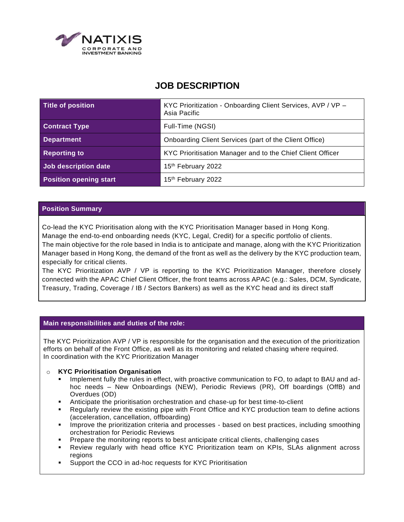

# **JOB DESCRIPTION**

| Title of position             | KYC Prioritization - Onboarding Client Services, AVP / VP -<br>Asia Pacific |
|-------------------------------|-----------------------------------------------------------------------------|
| <b>Contract Type</b>          | Full-Time (NGSI)                                                            |
| <b>Department</b>             | Onboarding Client Services (part of the Client Office)                      |
| <b>Reporting to</b>           | KYC Prioritisation Manager and to the Chief Client Officer                  |
| Job description date          | 15th February 2022                                                          |
| <b>Position opening start</b> | 15 <sup>th</sup> February 2022                                              |

## **Position Summary**

Co-lead the KYC Prioritisation along with the KYC Prioritisation Manager based in Hong Kong.

Manage the end-to-end onboarding needs (KYC, Legal, Credit) for a specific portfolio of clients. The main objective for the role based in India is to anticipate and manage, along with the KYC Prioritization Manager based in Hong Kong, the demand of the front as well as the delivery by the KYC production team, especially for critical clients.

The KYC Prioritization AVP / VP is reporting to the KYC Prioritization Manager, therefore closely connected with the APAC Chief Client Officer, the front teams across APAC (e.g.: Sales, DCM, Syndicate, Treasury, Trading, Coverage / IB / Sectors Bankers) as well as the KYC head and its direct staff

## **Main responsibilities and duties of the role:**

The KYC Prioritization AVP / VP is responsible for the organisation and the execution of the prioritization efforts on behalf of the Front Office, as well as its monitoring and related chasing where required. In coordination with the KYC Prioritization Manager

## o **KYC Prioritisation Organisation**

- Implement fully the rules in effect, with proactive communication to FO, to adapt to BAU and adhoc needs – New Onboardings (NEW), Periodic Reviews (PR), Off boardings (OffB) and Overdues (OD)
- Anticipate the prioritisation orchestration and chase-up for best time-to-client
- Regularly review the existing pipe with Front Office and KYC production team to define actions (acceleration, cancellation, offboarding)
- **•** Improve the prioritization criteria and processes based on best practices, including smoothing orchestration for Periodic Reviews
- Prepare the monitoring reports to best anticipate critical clients, challenging cases
- Review regularly with head office KYC Prioritization team on KPIs, SLAs alignment across regions
- Support the CCO in ad-hoc requests for KYC Prioritisation